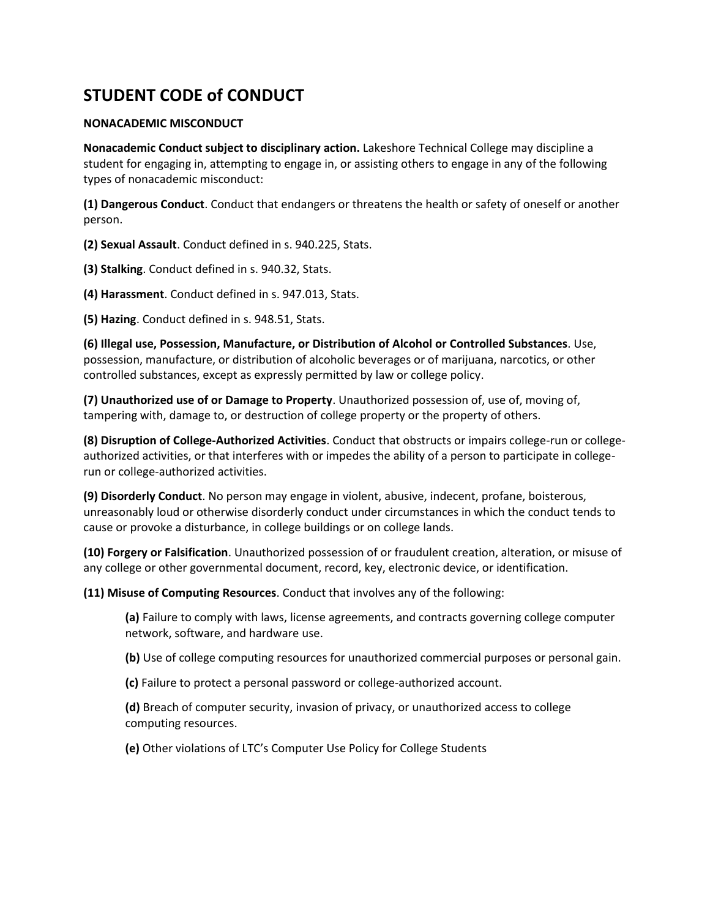# **STUDENT CODE of CONDUCT**

# **NONACADEMIC MISCONDUCT**

**Nonacademic Conduct subject to disciplinary action.** Lakeshore Technical College may discipline a student for engaging in, attempting to engage in, or assisting others to engage in any of the following types of nonacademic misconduct:

**(1) Dangerous Conduct**. Conduct that endangers or threatens the health or safety of oneself or another person.

**(2) Sexual Assault**. Conduct defined in s. 940.225, Stats.

**(3) Stalking**. Conduct defined in s. 940.32, Stats.

**(4) Harassment**. Conduct defined in s. 947.013, Stats.

**(5) Hazing**. Conduct defined in s. 948.51, Stats.

**(6) Illegal use, Possession, Manufacture, or Distribution of Alcohol or Controlled Substances**. Use, possession, manufacture, or distribution of alcoholic beverages or of marijuana, narcotics, or other controlled substances, except as expressly permitted by law or college policy.

**(7) Unauthorized use of or Damage to Property**. Unauthorized possession of, use of, moving of, tampering with, damage to, or destruction of college property or the property of others.

**(8) Disruption of College-Authorized Activities**. Conduct that obstructs or impairs college-run or collegeauthorized activities, or that interferes with or impedes the ability of a person to participate in collegerun or college-authorized activities.

**(9) Disorderly Conduct**. No person may engage in violent, abusive, indecent, profane, boisterous, unreasonably loud or otherwise disorderly conduct under circumstances in which the conduct tends to cause or provoke a disturbance, in college buildings or on college lands.

**(10) Forgery or Falsification**. Unauthorized possession of or fraudulent creation, alteration, or misuse of any college or other governmental document, record, key, electronic device, or identification.

**(11) Misuse of Computing Resources**. Conduct that involves any of the following:

**(a)** Failure to comply with laws, license agreements, and contracts governing college computer network, software, and hardware use.

**(b)** Use of college computing resources for unauthorized commercial purposes or personal gain.

**(c)** Failure to protect a personal password or college-authorized account.

**(d)** Breach of computer security, invasion of privacy, or unauthorized access to college computing resources.

**(e)** Other violations of LTC's Computer Use Policy for College Students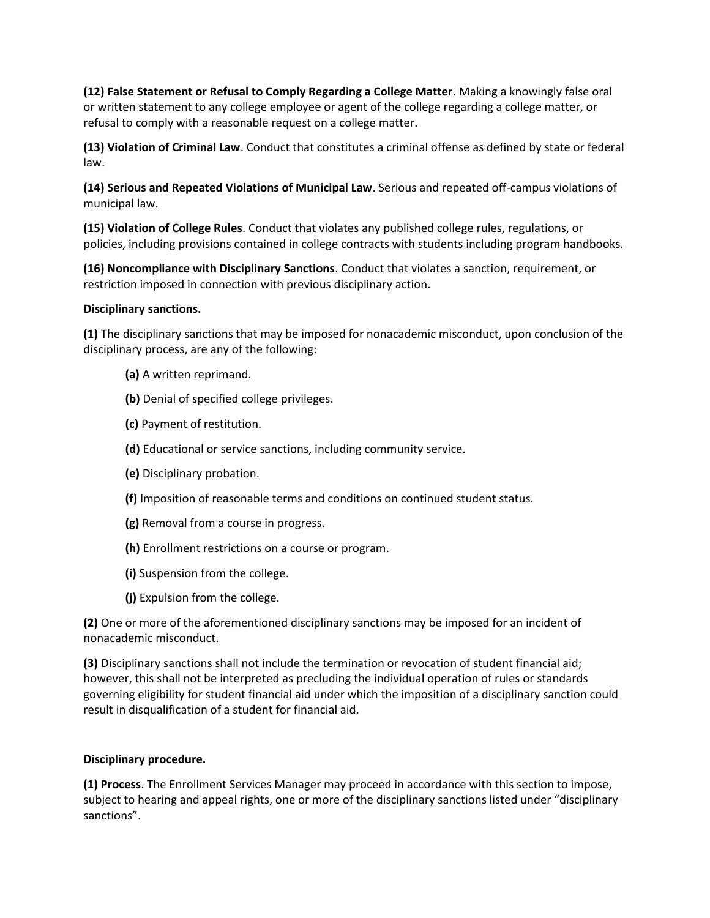**(12) False Statement or Refusal to Comply Regarding a College Matter**. Making a knowingly false oral or written statement to any college employee or agent of the college regarding a college matter, or refusal to comply with a reasonable request on a college matter.

**(13) Violation of Criminal Law**. Conduct that constitutes a criminal offense as defined by state or federal law.

**(14) Serious and Repeated Violations of Municipal Law**. Serious and repeated off-campus violations of municipal law.

**(15) Violation of College Rules**. Conduct that violates any published college rules, regulations, or policies, including provisions contained in college contracts with students including program handbooks.

**(16) Noncompliance with Disciplinary Sanctions**. Conduct that violates a sanction, requirement, or restriction imposed in connection with previous disciplinary action.

#### **Disciplinary sanctions.**

**(1)** The disciplinary sanctions that may be imposed for nonacademic misconduct, upon conclusion of the disciplinary process, are any of the following:

- **(a)** A written reprimand.
- **(b)** Denial of specified college privileges.
- **(c)** Payment of restitution.
- **(d)** Educational or service sanctions, including community service.
- **(e)** Disciplinary probation.
- **(f)** Imposition of reasonable terms and conditions on continued student status.
- **(g)** Removal from a course in progress.
- **(h)** Enrollment restrictions on a course or program.
- **(i)** Suspension from the college.
- **(j)** Expulsion from the college.

**(2)** One or more of the aforementioned disciplinary sanctions may be imposed for an incident of nonacademic misconduct.

**(3)** Disciplinary sanctions shall not include the termination or revocation of student financial aid; however, this shall not be interpreted as precluding the individual operation of rules or standards governing eligibility for student financial aid under which the imposition of a disciplinary sanction could result in disqualification of a student for financial aid.

## **Disciplinary procedure.**

**(1) Process**. The Enrollment Services Manager may proceed in accordance with this section to impose, subject to hearing and appeal rights, one or more of the disciplinary sanctions listed under "disciplinary sanctions".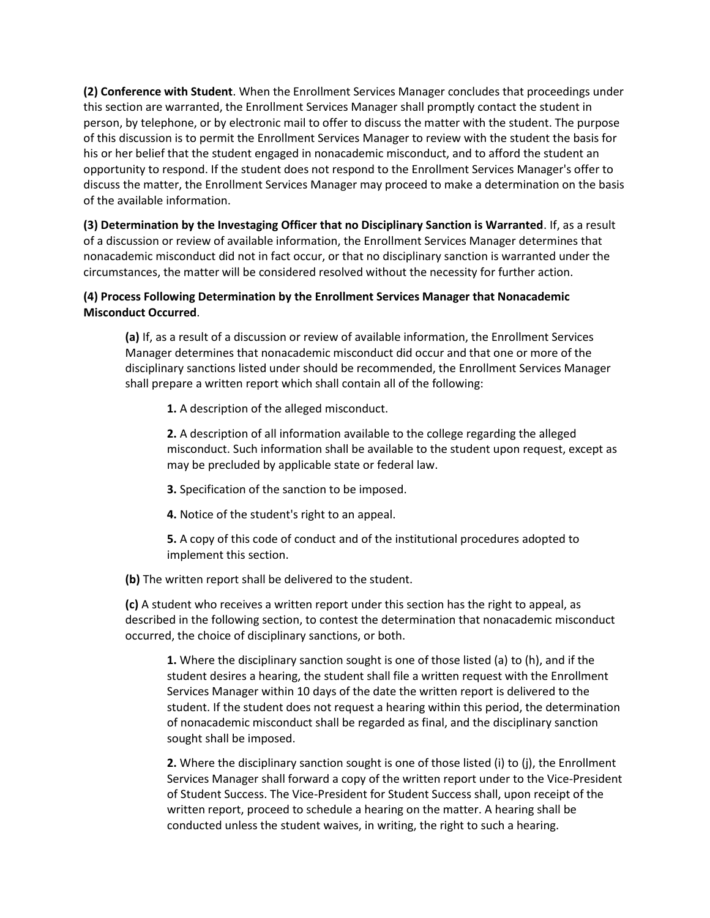**(2) Conference with Student**. When the Enrollment Services Manager concludes that proceedings under this section are warranted, the Enrollment Services Manager shall promptly contact the student in person, by telephone, or by electronic mail to offer to discuss the matter with the student. The purpose of this discussion is to permit the Enrollment Services Manager to review with the student the basis for his or her belief that the student engaged in nonacademic misconduct, and to afford the student an opportunity to respond. If the student does not respond to the Enrollment Services Manager's offer to discuss the matter, the Enrollment Services Manager may proceed to make a determination on the basis of the available information.

**(3) Determination by the Investaging Officer that no Disciplinary Sanction is Warranted**. If, as a result of a discussion or review of available information, the Enrollment Services Manager determines that nonacademic misconduct did not in fact occur, or that no disciplinary sanction is warranted under the circumstances, the matter will be considered resolved without the necessity for further action.

# **(4) Process Following Determination by the Enrollment Services Manager that Nonacademic Misconduct Occurred**.

**(a)** If, as a result of a discussion or review of available information, the Enrollment Services Manager determines that nonacademic misconduct did occur and that one or more of the disciplinary sanctions listed under should be recommended, the Enrollment Services Manager shall prepare a written report which shall contain all of the following:

**1.** A description of the alleged misconduct.

**2.** A description of all information available to the college regarding the alleged misconduct. Such information shall be available to the student upon request, except as may be precluded by applicable state or federal law.

**3.** Specification of the sanction to be imposed.

**4.** Notice of the student's right to an appeal.

**5.** A copy of this code of conduct and of the institutional procedures adopted to implement this section.

**(b)** The written report shall be delivered to the student.

**(c)** A student who receives a written report under this section has the right to appeal, as described in the following section, to contest the determination that nonacademic misconduct occurred, the choice of disciplinary sanctions, or both.

**1.** Where the disciplinary sanction sought is one of those listed (a) to (h), and if the student desires a hearing, the student shall file a written request with the Enrollment Services Manager within 10 days of the date the written report is delivered to the student. If the student does not request a hearing within this period, the determination of nonacademic misconduct shall be regarded as final, and the disciplinary sanction sought shall be imposed.

**2.** Where the disciplinary sanction sought is one of those listed (i) to (j), the Enrollment Services Manager shall forward a copy of the written report under to the Vice-President of Student Success. The Vice-President for Student Success shall, upon receipt of the written report, proceed to schedule a hearing on the matter. A hearing shall be conducted unless the student waives, in writing, the right to such a hearing.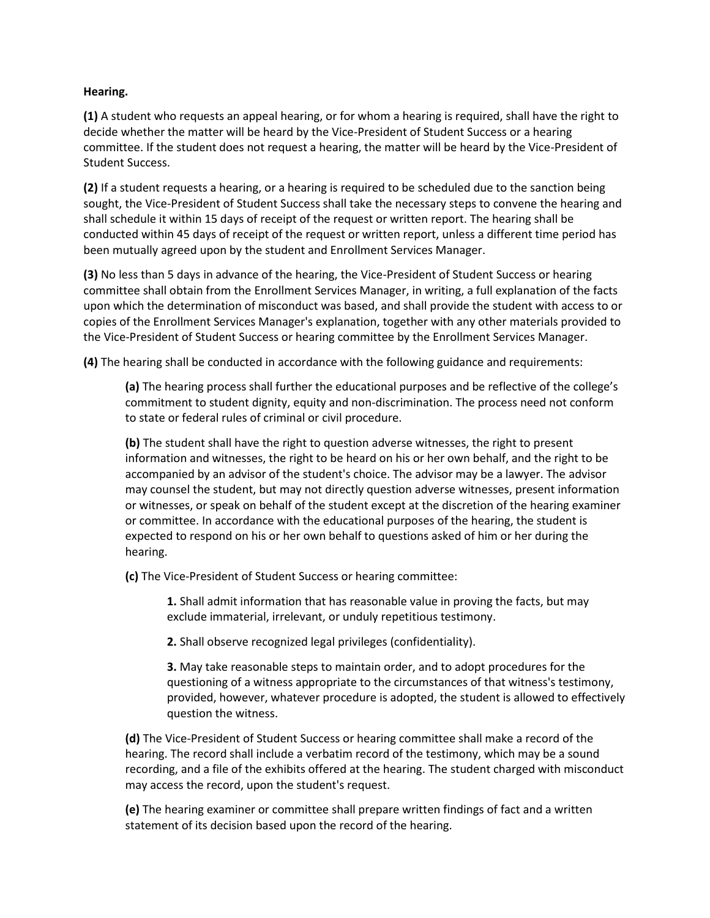#### **Hearing.**

**(1)** A student who requests an appeal hearing, or for whom a hearing is required, shall have the right to decide whether the matter will be heard by the Vice-President of Student Success or a hearing committee. If the student does not request a hearing, the matter will be heard by the Vice-President of Student Success.

**(2)** If a student requests a hearing, or a hearing is required to be scheduled due to the sanction being sought, the Vice-President of Student Success shall take the necessary steps to convene the hearing and shall schedule it within 15 days of receipt of the request or written report. The hearing shall be conducted within 45 days of receipt of the request or written report, unless a different time period has been mutually agreed upon by the student and Enrollment Services Manager.

**(3)** No less than 5 days in advance of the hearing, the Vice-President of Student Success or hearing committee shall obtain from the Enrollment Services Manager, in writing, a full explanation of the facts upon which the determination of misconduct was based, and shall provide the student with access to or copies of the Enrollment Services Manager's explanation, together with any other materials provided to the Vice-President of Student Success or hearing committee by the Enrollment Services Manager.

**(4)** The hearing shall be conducted in accordance with the following guidance and requirements:

**(a)** The hearing process shall further the educational purposes and be reflective of the college's commitment to student dignity, equity and non-discrimination. The process need not conform to state or federal rules of criminal or civil procedure.

**(b)** The student shall have the right to question adverse witnesses, the right to present information and witnesses, the right to be heard on his or her own behalf, and the right to be accompanied by an advisor of the student's choice. The advisor may be a lawyer. The advisor may counsel the student, but may not directly question adverse witnesses, present information or witnesses, or speak on behalf of the student except at the discretion of the hearing examiner or committee. In accordance with the educational purposes of the hearing, the student is expected to respond on his or her own behalf to questions asked of him or her during the hearing.

**(c)** The Vice-President of Student Success or hearing committee:

**1.** Shall admit information that has reasonable value in proving the facts, but may exclude immaterial, irrelevant, or unduly repetitious testimony.

**2.** Shall observe recognized legal privileges (confidentiality).

**3.** May take reasonable steps to maintain order, and to adopt procedures for the questioning of a witness appropriate to the circumstances of that witness's testimony, provided, however, whatever procedure is adopted, the student is allowed to effectively question the witness.

**(d)** The Vice-President of Student Success or hearing committee shall make a record of the hearing. The record shall include a verbatim record of the testimony, which may be a sound recording, and a file of the exhibits offered at the hearing. The student charged with misconduct may access the record, upon the student's request.

**(e)** The hearing examiner or committee shall prepare written findings of fact and a written statement of its decision based upon the record of the hearing.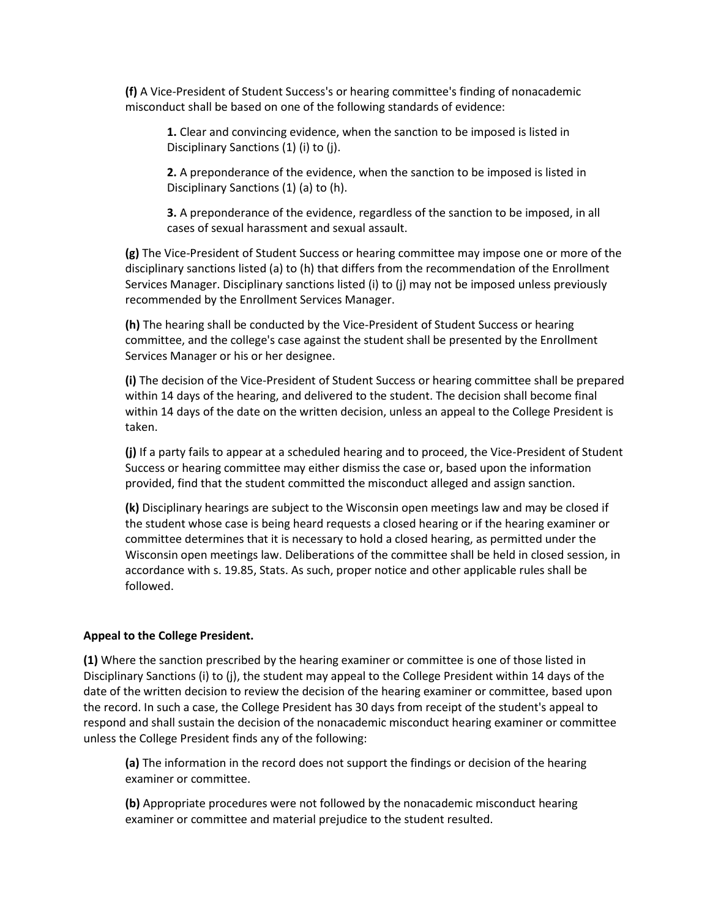**(f)** A Vice-President of Student Success's or hearing committee's finding of nonacademic misconduct shall be based on one of the following standards of evidence:

**1.** Clear and convincing evidence, when the sanction to be imposed is listed in Disciplinary Sanctions (1) (i) to (j).

**2.** A preponderance of the evidence, when the sanction to be imposed is listed in Disciplinary Sanctions (1) (a) to (h).

**3.** A preponderance of the evidence, regardless of the sanction to be imposed, in all cases of sexual harassment and sexual assault.

**(g)** The Vice-President of Student Success or hearing committee may impose one or more of the disciplinary sanctions listed (a) to (h) that differs from the recommendation of the Enrollment Services Manager. Disciplinary sanctions listed (i) to (j) may not be imposed unless previously recommended by the Enrollment Services Manager.

**(h)** The hearing shall be conducted by the Vice-President of Student Success or hearing committee, and the college's case against the student shall be presented by the Enrollment Services Manager or his or her designee.

**(i)** The decision of the Vice-President of Student Success or hearing committee shall be prepared within 14 days of the hearing, and delivered to the student. The decision shall become final within 14 days of the date on the written decision, unless an appeal to the College President is taken.

**(j)** If a party fails to appear at a scheduled hearing and to proceed, the Vice-President of Student Success or hearing committee may either dismiss the case or, based upon the information provided, find that the student committed the misconduct alleged and assign sanction.

**(k)** Disciplinary hearings are subject to the Wisconsin open meetings law and may be closed if the student whose case is being heard requests a closed hearing or if the hearing examiner or committee determines that it is necessary to hold a closed hearing, as permitted under the Wisconsin open meetings law. Deliberations of the committee shall be held in closed session, in accordance with s. 19.85, Stats. As such, proper notice and other applicable rules shall be followed.

#### **Appeal to the College President.**

**(1)** Where the sanction prescribed by the hearing examiner or committee is one of those listed in Disciplinary Sanctions (i) to (j), the student may appeal to the College President within 14 days of the date of the written decision to review the decision of the hearing examiner or committee, based upon the record. In such a case, the College President has 30 days from receipt of the student's appeal to respond and shall sustain the decision of the nonacademic misconduct hearing examiner or committee unless the College President finds any of the following:

**(a)** The information in the record does not support the findings or decision of the hearing examiner or committee.

**(b)** Appropriate procedures were not followed by the nonacademic misconduct hearing examiner or committee and material prejudice to the student resulted.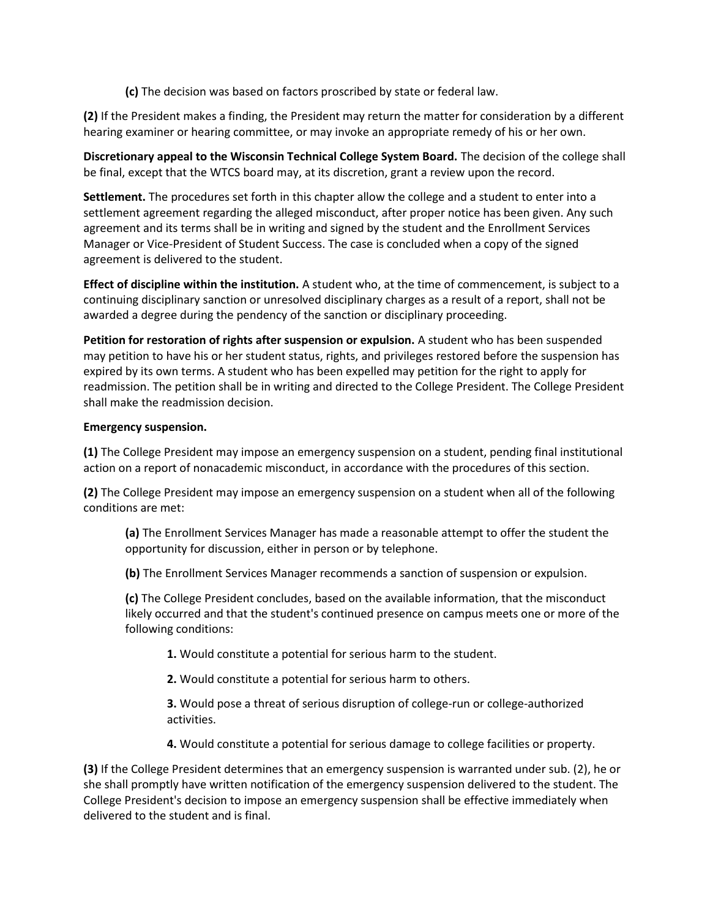**(c)** The decision was based on factors proscribed by state or federal law.

**(2)** If the President makes a finding, the President may return the matter for consideration by a different hearing examiner or hearing committee, or may invoke an appropriate remedy of his or her own.

**Discretionary appeal to the Wisconsin Technical College System Board.** The decision of the college shall be final, except that the WTCS board may, at its discretion, grant a review upon the record.

**Settlement.** The procedures set forth in this chapter allow the college and a student to enter into a settlement agreement regarding the alleged misconduct, after proper notice has been given. Any such agreement and its terms shall be in writing and signed by the student and the Enrollment Services Manager or Vice-President of Student Success. The case is concluded when a copy of the signed agreement is delivered to the student.

**Effect of discipline within the institution.** A student who, at the time of commencement, is subject to a continuing disciplinary sanction or unresolved disciplinary charges as a result of a report, shall not be awarded a degree during the pendency of the sanction or disciplinary proceeding.

**Petition for restoration of rights after suspension or expulsion.** A student who has been suspended may petition to have his or her student status, rights, and privileges restored before the suspension has expired by its own terms. A student who has been expelled may petition for the right to apply for readmission. The petition shall be in writing and directed to the College President. The College President shall make the readmission decision.

# **Emergency suspension.**

**(1)** The College President may impose an emergency suspension on a student, pending final institutional action on a report of nonacademic misconduct, in accordance with the procedures of this section.

**(2)** The College President may impose an emergency suspension on a student when all of the following conditions are met:

**(a)** The Enrollment Services Manager has made a reasonable attempt to offer the student the opportunity for discussion, either in person or by telephone.

**(b)** The Enrollment Services Manager recommends a sanction of suspension or expulsion.

**(c)** The College President concludes, based on the available information, that the misconduct likely occurred and that the student's continued presence on campus meets one or more of the following conditions:

**1.** Would constitute a potential for serious harm to the student.

**2.** Would constitute a potential for serious harm to others.

**3.** Would pose a threat of serious disruption of college-run or college-authorized activities.

**4.** Would constitute a potential for serious damage to college facilities or property.

**(3)** If the College President determines that an emergency suspension is warranted under sub. (2), he or she shall promptly have written notification of the emergency suspension delivered to the student. The College President's decision to impose an emergency suspension shall be effective immediately when delivered to the student and is final.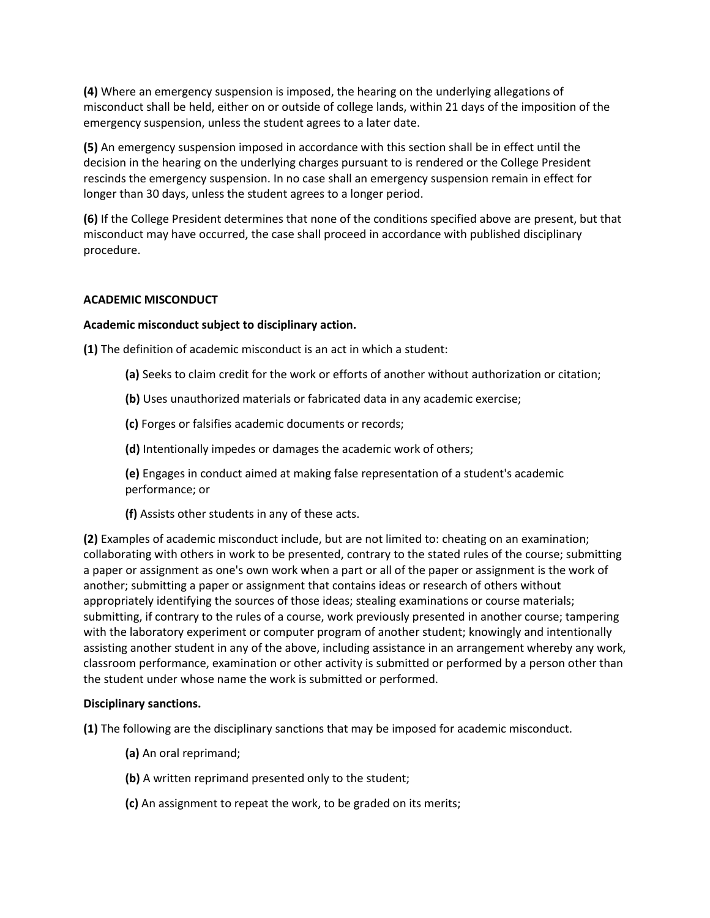**(4)** Where an emergency suspension is imposed, the hearing on the underlying allegations of misconduct shall be held, either on or outside of college lands, within 21 days of the imposition of the emergency suspension, unless the student agrees to a later date.

**(5)** An emergency suspension imposed in accordance with this section shall be in effect until the decision in the hearing on the underlying charges pursuant to is rendered or the College President rescinds the emergency suspension. In no case shall an emergency suspension remain in effect for longer than 30 days, unless the student agrees to a longer period.

**(6)** If the College President determines that none of the conditions specified above are present, but that misconduct may have occurred, the case shall proceed in accordance with published disciplinary procedure.

# **ACADEMIC MISCONDUCT**

## **Academic misconduct subject to disciplinary action.**

**(1)** The definition of academic misconduct is an act in which a student:

- **(a)** Seeks to claim credit for the work or efforts of another without authorization or citation;
- **(b)** Uses unauthorized materials or fabricated data in any academic exercise;

**(c)** Forges or falsifies academic documents or records;

**(d)** Intentionally impedes or damages the academic work of others;

**(e)** Engages in conduct aimed at making false representation of a student's academic performance; or

**(f)** Assists other students in any of these acts.

**(2)** Examples of academic misconduct include, but are not limited to: cheating on an examination; collaborating with others in work to be presented, contrary to the stated rules of the course; submitting a paper or assignment as one's own work when a part or all of the paper or assignment is the work of another; submitting a paper or assignment that contains ideas or research of others without appropriately identifying the sources of those ideas; stealing examinations or course materials; submitting, if contrary to the rules of a course, work previously presented in another course; tampering with the laboratory experiment or computer program of another student; knowingly and intentionally assisting another student in any of the above, including assistance in an arrangement whereby any work, classroom performance, examination or other activity is submitted or performed by a person other than the student under whose name the work is submitted or performed.

## **Disciplinary sanctions.**

**(1)** The following are the disciplinary sanctions that may be imposed for academic misconduct.

- **(a)** An oral reprimand;
- **(b)** A written reprimand presented only to the student;
- **(c)** An assignment to repeat the work, to be graded on its merits;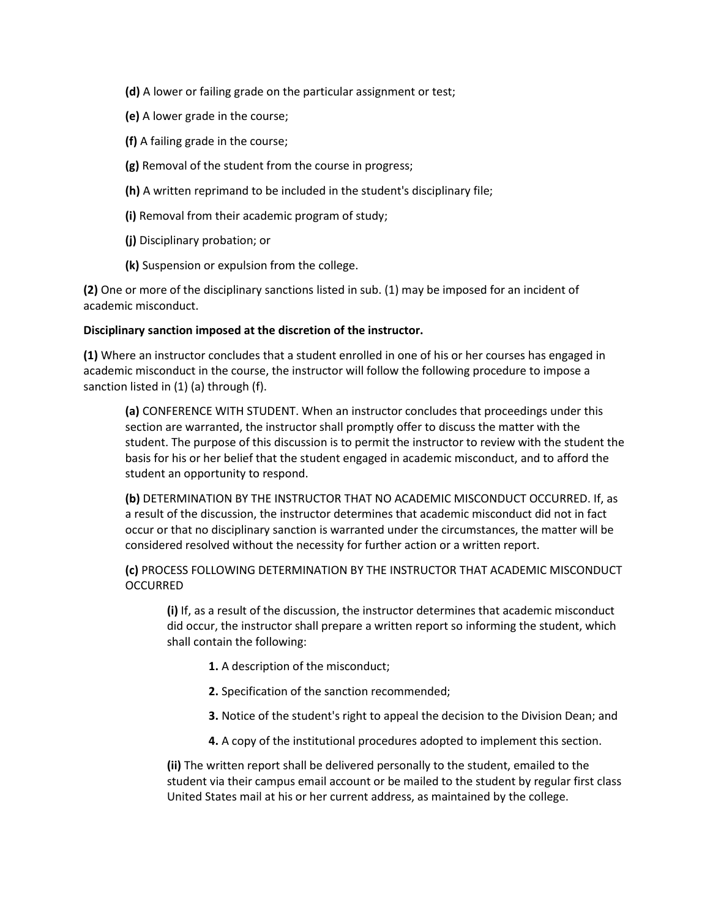- **(d)** A lower or failing grade on the particular assignment or test;
- **(e)** A lower grade in the course;
- **(f)** A failing grade in the course;
- **(g)** Removal of the student from the course in progress;
- **(h)** A written reprimand to be included in the student's disciplinary file;
- **(i)** Removal from their academic program of study;
- **(j)** Disciplinary probation; or
- **(k)** Suspension or expulsion from the college.

**(2)** One or more of the disciplinary sanctions listed in sub. (1) may be imposed for an incident of academic misconduct.

## **Disciplinary sanction imposed at the discretion of the instructor.**

**(1)** Where an instructor concludes that a student enrolled in one of his or her courses has engaged in academic misconduct in the course, the instructor will follow the following procedure to impose a sanction listed in (1) (a) through (f).

**(a)** CONFERENCE WITH STUDENT. When an instructor concludes that proceedings under this section are warranted, the instructor shall promptly offer to discuss the matter with the student. The purpose of this discussion is to permit the instructor to review with the student the basis for his or her belief that the student engaged in academic misconduct, and to afford the student an opportunity to respond.

**(b)** DETERMINATION BY THE INSTRUCTOR THAT NO ACADEMIC MISCONDUCT OCCURRED. If, as a result of the discussion, the instructor determines that academic misconduct did not in fact occur or that no disciplinary sanction is warranted under the circumstances, the matter will be considered resolved without the necessity for further action or a written report.

# **(c)** PROCESS FOLLOWING DETERMINATION BY THE INSTRUCTOR THAT ACADEMIC MISCONDUCT **OCCURRED**

**(i)** If, as a result of the discussion, the instructor determines that academic misconduct did occur, the instructor shall prepare a written report so informing the student, which shall contain the following:

- **1.** A description of the misconduct;
- **2.** Specification of the sanction recommended;
- **3.** Notice of the student's right to appeal the decision to the Division Dean; and
- **4.** A copy of the institutional procedures adopted to implement this section.

**(ii)** The written report shall be delivered personally to the student, emailed to the student via their campus email account or be mailed to the student by regular first class United States mail at his or her current address, as maintained by the college.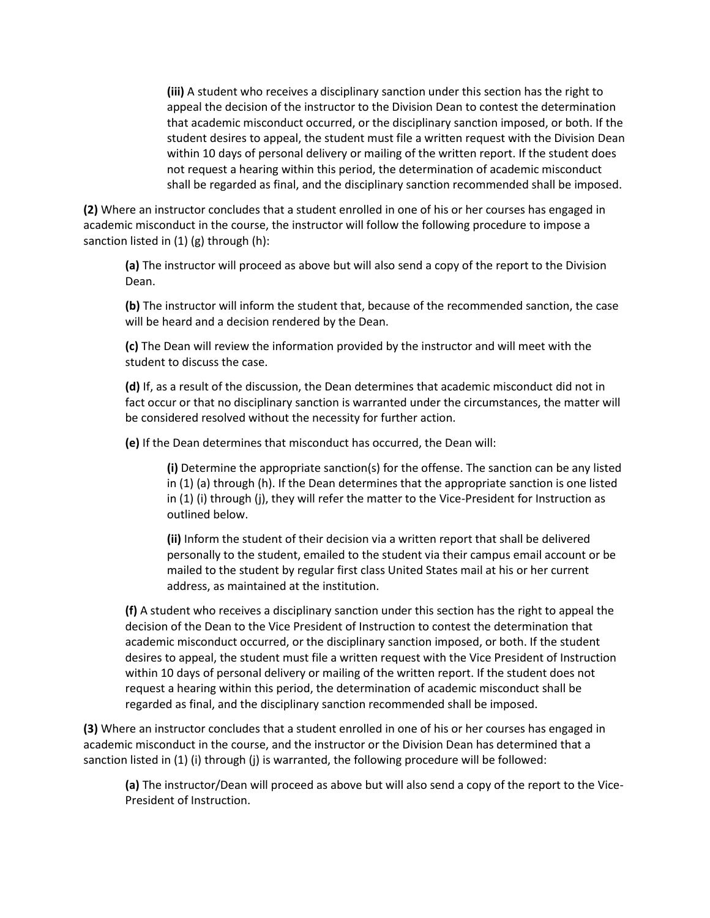**(iii)** A student who receives a disciplinary sanction under this section has the right to appeal the decision of the instructor to the Division Dean to contest the determination that academic misconduct occurred, or the disciplinary sanction imposed, or both. If the student desires to appeal, the student must file a written request with the Division Dean within 10 days of personal delivery or mailing of the written report. If the student does not request a hearing within this period, the determination of academic misconduct shall be regarded as final, and the disciplinary sanction recommended shall be imposed.

**(2)** Where an instructor concludes that a student enrolled in one of his or her courses has engaged in academic misconduct in the course, the instructor will follow the following procedure to impose a sanction listed in (1) (g) through (h):

**(a)** The instructor will proceed as above but will also send a copy of the report to the Division Dean.

**(b)** The instructor will inform the student that, because of the recommended sanction, the case will be heard and a decision rendered by the Dean.

**(c)** The Dean will review the information provided by the instructor and will meet with the student to discuss the case.

**(d)** If, as a result of the discussion, the Dean determines that academic misconduct did not in fact occur or that no disciplinary sanction is warranted under the circumstances, the matter will be considered resolved without the necessity for further action.

**(e)** If the Dean determines that misconduct has occurred, the Dean will:

**(i)** Determine the appropriate sanction(s) for the offense. The sanction can be any listed in (1) (a) through (h). If the Dean determines that the appropriate sanction is one listed in (1) (i) through (j), they will refer the matter to the Vice-President for Instruction as outlined below.

**(ii)** Inform the student of their decision via a written report that shall be delivered personally to the student, emailed to the student via their campus email account or be mailed to the student by regular first class United States mail at his or her current address, as maintained at the institution.

**(f)** A student who receives a disciplinary sanction under this section has the right to appeal the decision of the Dean to the Vice President of Instruction to contest the determination that academic misconduct occurred, or the disciplinary sanction imposed, or both. If the student desires to appeal, the student must file a written request with the Vice President of Instruction within 10 days of personal delivery or mailing of the written report. If the student does not request a hearing within this period, the determination of academic misconduct shall be regarded as final, and the disciplinary sanction recommended shall be imposed.

**(3)** Where an instructor concludes that a student enrolled in one of his or her courses has engaged in academic misconduct in the course, and the instructor or the Division Dean has determined that a sanction listed in (1) (i) through (j) is warranted, the following procedure will be followed:

**(a)** The instructor/Dean will proceed as above but will also send a copy of the report to the Vice-President of Instruction.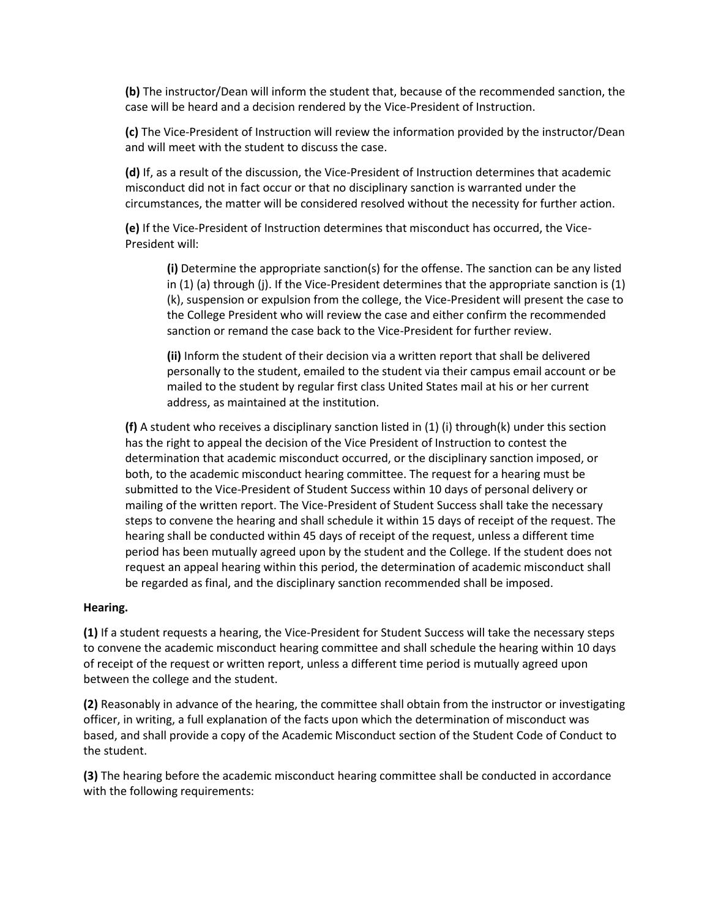**(b)** The instructor/Dean will inform the student that, because of the recommended sanction, the case will be heard and a decision rendered by the Vice-President of Instruction.

**(c)** The Vice-President of Instruction will review the information provided by the instructor/Dean and will meet with the student to discuss the case.

**(d)** If, as a result of the discussion, the Vice-President of Instruction determines that academic misconduct did not in fact occur or that no disciplinary sanction is warranted under the circumstances, the matter will be considered resolved without the necessity for further action.

**(e)** If the Vice-President of Instruction determines that misconduct has occurred, the Vice-President will:

**(i)** Determine the appropriate sanction(s) for the offense. The sanction can be any listed in (1) (a) through (j). If the Vice-President determines that the appropriate sanction is (1) (k), suspension or expulsion from the college, the Vice-President will present the case to the College President who will review the case and either confirm the recommended sanction or remand the case back to the Vice-President for further review.

**(ii)** Inform the student of their decision via a written report that shall be delivered personally to the student, emailed to the student via their campus email account or be mailed to the student by regular first class United States mail at his or her current address, as maintained at the institution.

**(f)** A student who receives a disciplinary sanction listed in (1) (i) through(k) under this section has the right to appeal the decision of the Vice President of Instruction to contest the determination that academic misconduct occurred, or the disciplinary sanction imposed, or both, to the academic misconduct hearing committee. The request for a hearing must be submitted to the Vice-President of Student Success within 10 days of personal delivery or mailing of the written report. The Vice-President of Student Success shall take the necessary steps to convene the hearing and shall schedule it within 15 days of receipt of the request. The hearing shall be conducted within 45 days of receipt of the request, unless a different time period has been mutually agreed upon by the student and the College. If the student does not request an appeal hearing within this period, the determination of academic misconduct shall be regarded as final, and the disciplinary sanction recommended shall be imposed.

## **Hearing.**

**(1)** If a student requests a hearing, the Vice-President for Student Success will take the necessary steps to convene the academic misconduct hearing committee and shall schedule the hearing within 10 days of receipt of the request or written report, unless a different time period is mutually agreed upon between the college and the student.

**(2)** Reasonably in advance of the hearing, the committee shall obtain from the instructor or investigating officer, in writing, a full explanation of the facts upon which the determination of misconduct was based, and shall provide a copy of the Academic Misconduct section of the Student Code of Conduct to the student.

**(3)** The hearing before the academic misconduct hearing committee shall be conducted in accordance with the following requirements: